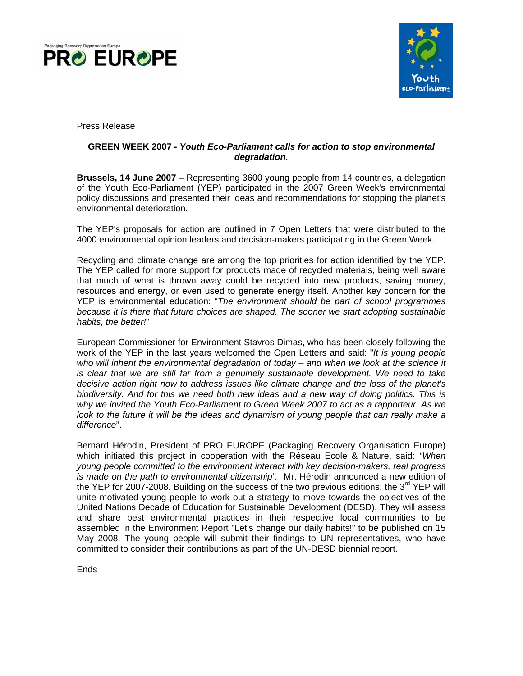



Press Release

# **GREEN WEEK 2007 -** *Youth Eco-Parliament calls for action to stop environmental degradation.*

**Brussels, 14 June 2007** – Representing 3600 young people from 14 countries, a delegation of the Youth Eco-Parliament (YEP) participated in the 2007 Green Week's environmental policy discussions and presented their ideas and recommendations for stopping the planet's environmental deterioration.

The YEP's proposals for action are outlined in 7 Open Letters that were distributed to the 4000 environmental opinion leaders and decision-makers participating in the Green Week.

Recycling and climate change are among the top priorities for action identified by the YEP. The YEP called for more support for products made of recycled materials, being well aware that much of what is thrown away could be recycled into new products, saving money, resources and energy, or even used to generate energy itself. Another key concern for the YEP is environmental education: "*The environment should be part of school programmes because it is there that future choices are shaped. The sooner we start adopting sustainable habits, the better!*"

European Commissioner for Environment Stavros Dimas, who has been closely following the work of the YEP in the last years welcomed the Open Letters and said: "*It is young people who will inherit the environmental degradation of today – and when we look at the science it is clear that we are still far from a genuinely sustainable development. We need to take decisive action right now to address issues like climate change and the loss of the planet's biodiversity. And for this we need both new ideas and a new way of doing politics. This is why we invited the Youth Eco-Parliament to Green Week 2007 to act as a rapporteur. As we look to the future it will be the ideas and dynamism of young people that can really make a difference*".

Bernard Hérodin, President of PRO EUROPE (Packaging Recovery Organisation Europe) which initiated this project in cooperation with the Réseau Ecole & Nature, said: *"When young people committed to the environment interact with key decision-makers, real progress is made on the path to environmental citizenship".* Mr. Hérodin announced a new edition of the YEP for 2007-2008. Building on the success of the two previous editions, the 3<sup>rd</sup> YEP will unite motivated young people to work out a strategy to move towards the objectives of the United Nations Decade of Education for Sustainable Development (DESD). They will assess and share best environmental practices in their respective local communities to be assembled in the Environment Report "Let's change our daily habits!" to be published on 15 May 2008. The young people will submit their findings to UN representatives, who have committed to consider their contributions as part of the UN-DESD biennial report.

Ends